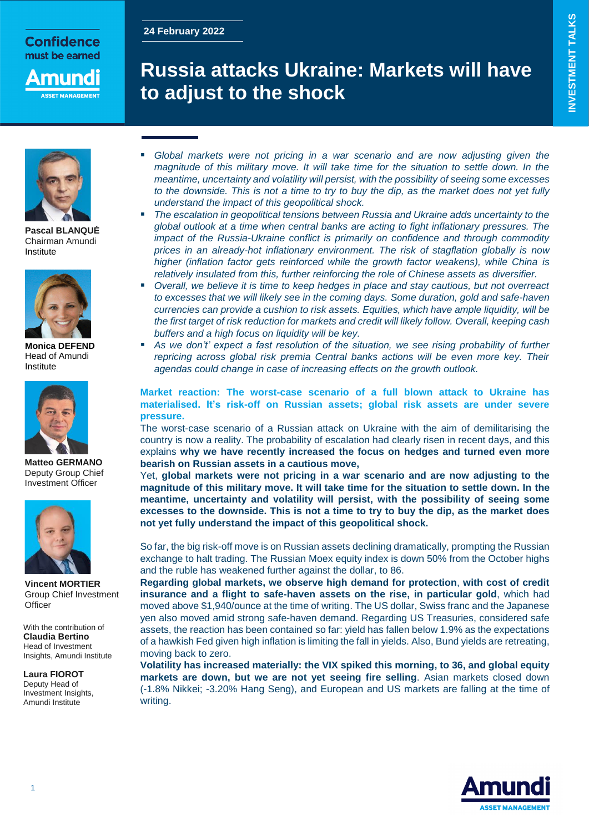### **24 February 2022**

**Confidence** must be earned

## nund **SET MANAGEME**

# **Russia attacks Ukraine: Markets will have to adjust to the shock**



**Pascal BLANQUÉ** Chairman Amundi Institute



**Monica DEFEND** Head of Amundi Institute



**Matteo GERMANO** Deputy Group Chief Investment Officer



**Vincent MORTIER** Group Chief Investment **Officer** 

With the contribution of **Claudia Bertino** Head of Investment Insights, Amundi Institute

**Laura FIOROT** Deputy Head of Investment Insights, Amundi Institute

- *Global markets were not pricing in a war scenario and are now adjusting given the magnitude of this military move. It will take time for the situation to settle down. In the meantime, uncertainty and volatility will persist, with the possibility of seeing some excesses to the downside. This is not a time to try to buy the dip, as the market does not yet fully understand the impact of this geopolitical shock.*
- *The escalation in geopolitical tensions between Russia and Ukraine adds uncertainty to the global outlook at a time when central banks are acting to fight inflationary pressures. The impact of the Russia-Ukraine conflict is primarily on confidence and through commodity prices in an already-hot inflationary environment. The risk of stagflation globally is now higher (inflation factor gets reinforced while the growth factor weakens), while China is relatively insulated from this, further reinforcing the role of Chinese assets as diversifier.*
- *Overall, we believe it is time to keep hedges in place and stay cautious, but not overreact to excesses that we will likely see in the coming days. Some duration, gold and safe-haven currencies can provide a cushion to risk assets. Equities, which have ample liquidity, will be the first target of risk reduction for markets and credit will likely follow. Overall, keeping cash buffers and a high focus on liquidity will be key.*
- *As we don't' expect a fast resolution of the situation, we see rising probability of further repricing across global risk premia Central banks actions will be even more key. Their agendas could change in case of increasing effects on the growth outlook.*

### **Market reaction: The worst-case scenario of a full blown attack to Ukraine has materialised. It's risk-off on Russian assets; global risk assets are under severe pressure.**

The worst-case scenario of a Russian attack on Ukraine with the aim of demilitarising the country is now a reality. The probability of escalation had clearly risen in recent days, and this explains **why we have recently increased the focus on hedges and turned even more bearish on Russian assets in a cautious move,**

Yet, **global markets were not pricing in a war scenario and are now adjusting to the magnitude of this military move. It will take time for the situation to settle down. In the meantime, uncertainty and volatility will persist, with the possibility of seeing some excesses to the downside. This is not a time to try to buy the dip, as the market does not yet fully understand the impact of this geopolitical shock.** 

So far, the big risk-off move is on Russian assets declining dramatically, prompting the Russian exchange to halt trading. The Russian Moex equity index is down 50% from the October highs and the ruble has weakened further against the dollar, to 86.

**Regarding global markets, we observe high demand for protection**, **with cost of credit insurance and a flight to safe-haven assets on the rise, in particular gold**, which had moved above \$1,940/ounce at the time of writing. The US dollar, Swiss franc and the Japanese yen also moved amid strong safe-haven demand. Regarding US Treasuries, considered safe assets, the reaction has been contained so far: yield has fallen below 1.9% as the expectations of a hawkish Fed given high inflation is limiting the fall in yields. Also, Bund yields are retreating, moving back to zero.

**Volatility has increased materially: the VIX spiked this morning, to 36, and global equity markets are down, but we are not yet seeing fire selling**. Asian markets closed down (-1.8% Nikkei; -3.20% Hang Seng), and European and US markets are falling at the time of writing.

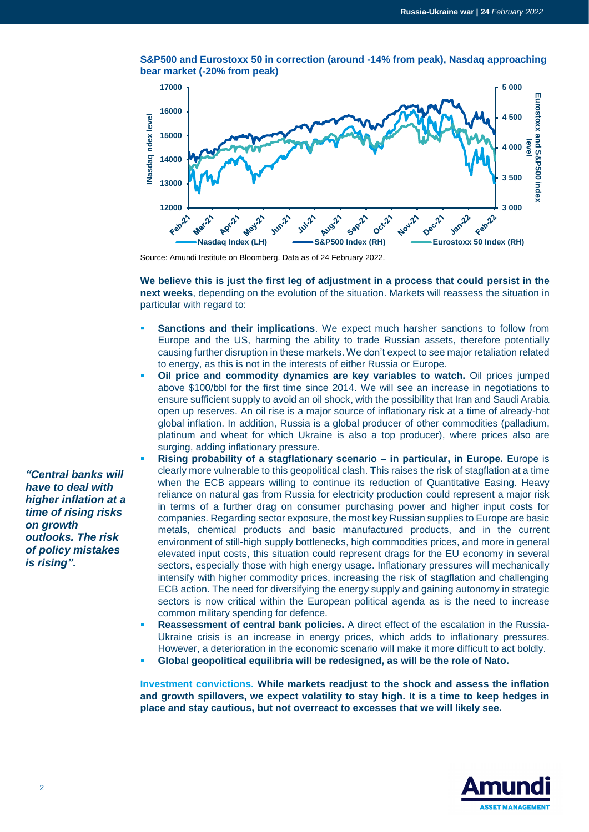

**S&P500 and Eurostoxx 50 in correction (around -14% from peak), Nasdaq approaching bear market (-20% from peak)**

Source: Amundi Institute on Bloomberg. Data as of 24 February 2022.

**We believe this is just the first leg of adjustment in a process that could persist in the next weeks**, depending on the evolution of the situation. Markets will reassess the situation in particular with regard to:

- **Sanctions and their implications**. We expect much harsher sanctions to follow from Europe and the US, harming the ability to trade Russian assets, therefore potentially causing further disruption in these markets. We don't expect to see major retaliation related to energy, as this is not in the interests of either Russia or Europe.
- **Oil price and commodity dynamics are key variables to watch.** Oil prices jumped above \$100/bbl for the first time since 2014. We will see an increase in negotiations to ensure sufficient supply to avoid an oil shock, with the possibility that Iran and Saudi Arabia open up reserves. An oil rise is a major source of inflationary risk at a time of already-hot global inflation. In addition, Russia is a global producer of other commodities (palladium, platinum and wheat for which Ukraine is also a top producer), where prices also are surging, adding inflationary pressure.
- **Rising probability of a stagflationary scenario – in particular, in Europe.** Europe is clearly more vulnerable to this geopolitical clash. This raises the risk of stagflation at a time when the ECB appears willing to continue its reduction of Quantitative Easing. Heavy reliance on natural gas from Russia for electricity production could represent a major risk in terms of a further drag on consumer purchasing power and higher input costs for companies. Regarding sector exposure, the most key Russian supplies to Europe are basic metals, chemical products and basic manufactured products, and in the current environment of still-high supply bottlenecks, high commodities prices, and more in general elevated input costs, this situation could represent drags for the EU economy in several sectors, especially those with high energy usage. Inflationary pressures will mechanically intensify with higher commodity prices, increasing the risk of stagflation and challenging ECB action. The need for diversifying the energy supply and gaining autonomy in strategic sectors is now critical within the European political agenda as is the need to increase common military spending for defence.
- **Reassessment of central bank policies.** A direct effect of the escalation in the Russia-Ukraine crisis is an increase in energy prices, which adds to inflationary pressures. However, a deterioration in the economic scenario will make it more difficult to act boldly.

**Global geopolitical equilibria will be redesigned, as will be the role of Nato.**

**Investment convictions. While markets readjust to the shock and assess the inflation and growth spillovers, we expect volatility to stay high. It is a time to keep hedges in place and stay cautious, but not overreact to excesses that we will likely see.**



*"Central banks will have to deal with higher inflation at a time of rising risks on growth outlooks. The risk of policy mistakes is rising".*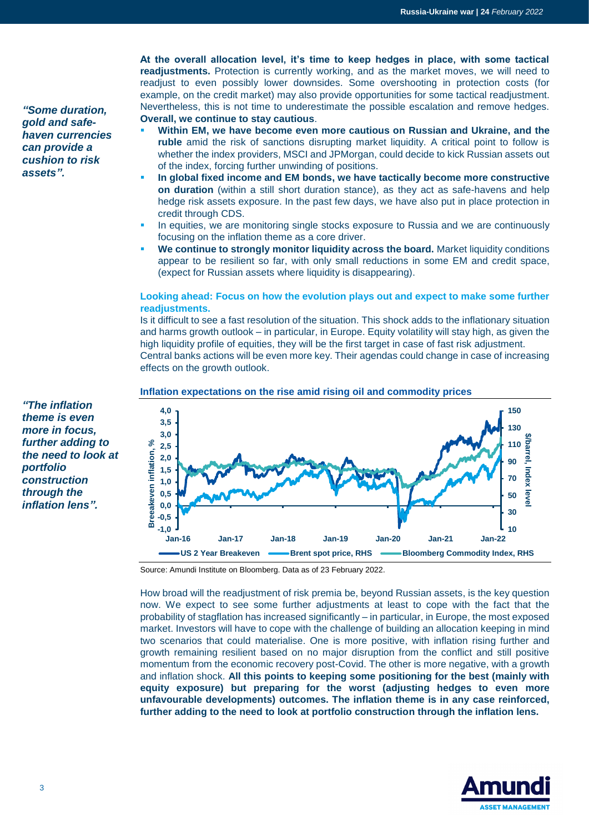*"Some duration, gold and safehaven currencies can provide a cushion to risk assets".*

**At the overall allocation level, it's time to keep hedges in place, with some tactical readjustments.** Protection is currently working, and as the market moves, we will need to readjust to even possibly lower downsides. Some overshooting in protection costs (for example, on the credit market) may also provide opportunities for some tactical readjustment. Nevertheless, this is not time to underestimate the possible escalation and remove hedges. **Overall, we continue to stay cautious**.

- **Within EM, we have become even more cautious on Russian and Ukraine, and the ruble** amid the risk of sanctions disrupting market liquidity. A critical point to follow is whether the index providers, MSCI and JPMorgan, could decide to kick Russian assets out of the index, forcing further unwinding of positions.
- **In global fixed income and EM bonds, we have tactically become more constructive on duration** (within a still short duration stance), as they act as safe-havens and help hedge risk assets exposure. In the past few days, we have also put in place protection in credit through CDS.
- In equities, we are monitoring single stocks exposure to Russia and we are continuously focusing on the inflation theme as a core driver.
- **We continue to strongly monitor liquidity across the board.** Market liquidity conditions appear to be resilient so far, with only small reductions in some EM and credit space, (expect for Russian assets where liquidity is disappearing).

### **Looking ahead: Focus on how the evolution plays out and expect to make some further readjustments.**

Is it difficult to see a fast resolution of the situation. This shock adds to the inflationary situation and harms growth outlook – in particular, in Europe. Equity volatility will stay high, as given the high liquidity profile of equities, they will be the first target in case of fast risk adjustment. Central banks actions will be even more key. Their agendas could change in case of increasing effects on the growth outlook.

### **Inflation expectations on the rise amid rising oil and commodity prices**



*theme is even more in focus, further adding to the need to look at portfolio construction through the inflation lens".*

*"The inflation* 

Source: Amundi Institute on Bloomberg. Data as of 23 February 2022.

How broad will the readjustment of risk premia be, beyond Russian assets, is the key question now. We expect to see some further adjustments at least to cope with the fact that the probability of stagflation has increased significantly – in particular, in Europe, the most exposed market. Investors will have to cope with the challenge of building an allocation keeping in mind two scenarios that could materialise. One is more positive, with inflation rising further and growth remaining resilient based on no major disruption from the conflict and still positive momentum from the economic recovery post-Covid. The other is more negative, with a growth and inflation shock. **All this points to keeping some positioning for the best (mainly with equity exposure) but preparing for the worst (adjusting hedges to even more unfavourable developments) outcomes. The inflation theme is in any case reinforced, further adding to the need to look at portfolio construction through the inflation lens.**